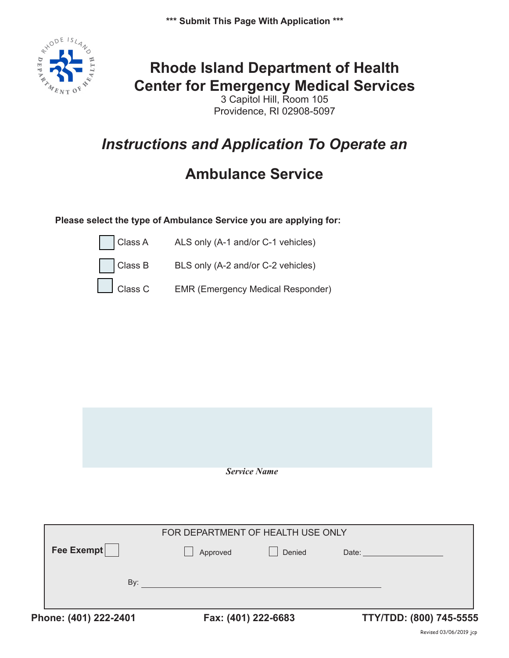**\*\*\* Submit This Page With Application \*\*\***



# **Rhode Island Department of Health Center for Emergency Medical Services**

3 Capitol Hill, Room 105 Providence, RI 02908-5097

# *Instructions and Application To Operate an*

# **Ambulance Service**

#### **Please select the type of Ambulance Service you are applying for:**



Class B BLS only (A-2 and/or C-2 vehicles)

Class C EMR (Emergency Medical Responder)

| <b>Service Name</b> |
|---------------------|

| Phone: (401) 222-2401 |                                   | Fax: (401) 222-6683 |        |       | TTY/TDD: (800) 745-5555 |
|-----------------------|-----------------------------------|---------------------|--------|-------|-------------------------|
|                       | By:                               |                     |        |       |                         |
| Fee Exempt            |                                   | Approved            | Denied | Date: |                         |
|                       | FOR DEPARTMENT OF HEALTH USE ONLY |                     |        |       |                         |
|                       |                                   |                     |        |       |                         |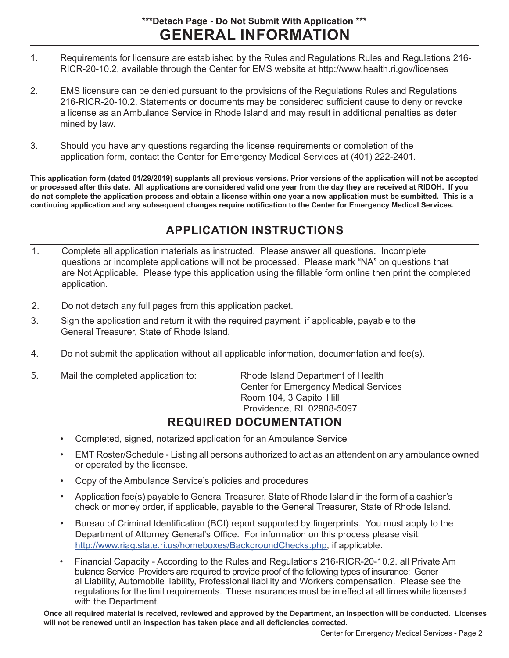### **GENERAL INFORMATION \*\*\*Detach Page - Do Not Submit With Application \*\*\***

- 1. Requirements for licensure are established by the Rules and Regulations Rules and Regulations 216- RICR-20-10.2, available through the Center for EMS website at http://www.health.ri.gov/licenses
- 2. EMS licensure can be denied pursuant to the provisions of the Regulations Rules and Regulations 216-RICR-20-10.2. Statements or documents may be considered sufficient cause to deny or revoke a license as an Ambulance Service in Rhode Island and may result in additional penalties as deter mined by law.
- 3. Should you have any questions regarding the license requirements or completion of the application form, contact the Center for Emergency Medical Services at (401) 222-2401.

**This application form (dated 01/29/2019) supplants all previous versions. Prior versions of the application will not be accepted or processed after this date. All applications are considered valid one year from the day they are received at RIDOH. If you do not complete the application process and obtain a license within one year a new application must be sumbitted. This is a continuing application and any subsequent changes require notification to the Center for Emergency Medical Services.**

## **APPLICATION INSTRUCTIONS**

- 1. Complete all application materials as instructed. Please answer all questions. Incomplete questions or incomplete applications will not be processed. Please mark "NA" on questions that are Not Applicable. Please type this application using the fillable form online then print the completed application.
- 2. Do not detach any full pages from this application packet.
- 3. Sign the application and return it with the required payment, if applicable, payable to the General Treasurer, State of Rhode Island.
- 4. Do not submit the application without all applicable information, documentation and fee(s).
- 5. Mail the completed application to: Rhode Island Department of Health

Center for Emergency Medical Services Room 104, 3 Capitol Hill Providence, RI 02908-5097

### **REQUIRED DOCUMENTATION**

- Completed, signed, notarized application for an Ambulance Service
- EMT Roster/Schedule Listing all persons authorized to act as an attendent on any ambulance owned or operated by the licensee.
- Copy of the Ambulance Service's policies and procedures
- Application fee(s) payable to General Treasurer, State of Rhode Island in the form of a cashier's check or money order, if applicable, payable to the General Treasurer, State of Rhode Island.
- Bureau of Criminal Identification (BCI) report supported by fingerprints. You must apply to the Department of Attorney General's Office. For information on this process please visit: http://www.riag.state.ri.us/homeboxes/BackgroundChecks.php, if applicable.
- Financial Capacity According to the Rules and Regulations 216-RICR-20-10.2. all Private Am bulance Service Providers are required to provide proof of the following types of insurance: Gener al Liability, Automobile liability, Professional liability and Workers compensation. Please see the regulations for the limit requirements. These insurances must be in effect at all times while licensed with the Department.

**Once all required material is received, reviewed and approved by the Department, an inspection will be conducted. Licenses will not be renewed until an inspection has taken place and all deficiencies corrected.**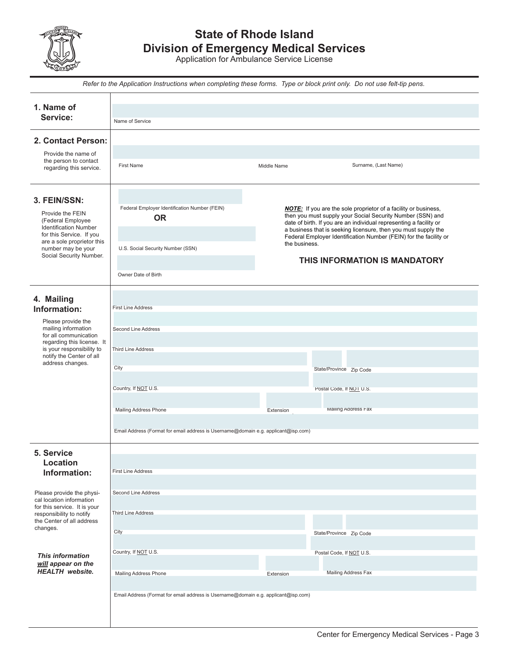

## **State of Rhode Island Division of Emergency Medical Services**

Application for Ambulance Service License

|                                                                                                                                                                                                  |                                                                                                                                                                                                                                                                                                                                                                                                                                                                                                                               | Refer to the Application Instructions when completing these forms. Type or block print only. Do not use felt-tip pens. |                                                                            |  |  |  |  |  |
|--------------------------------------------------------------------------------------------------------------------------------------------------------------------------------------------------|-------------------------------------------------------------------------------------------------------------------------------------------------------------------------------------------------------------------------------------------------------------------------------------------------------------------------------------------------------------------------------------------------------------------------------------------------------------------------------------------------------------------------------|------------------------------------------------------------------------------------------------------------------------|----------------------------------------------------------------------------|--|--|--|--|--|
| 1. Name of<br>Service:                                                                                                                                                                           | Name of Service                                                                                                                                                                                                                                                                                                                                                                                                                                                                                                               |                                                                                                                        |                                                                            |  |  |  |  |  |
| 2. Contact Person:                                                                                                                                                                               |                                                                                                                                                                                                                                                                                                                                                                                                                                                                                                                               |                                                                                                                        |                                                                            |  |  |  |  |  |
| Provide the name of<br>the person to contact<br>regarding this service.                                                                                                                          | <b>First Name</b>                                                                                                                                                                                                                                                                                                                                                                                                                                                                                                             | Middle Name                                                                                                            | Surname, (Last Name)                                                       |  |  |  |  |  |
| 3. FEIN/SSN:<br>Provide the FEIN<br>(Federal Employee<br><b>Identification Number</b><br>for this Service. If you<br>are a sole proprietor this<br>number may be your<br>Social Security Number. | Federal Employer Identification Number (FEIN)<br><b>NOTE:</b> If you are the sole proprietor of a facility or business,<br>then you must supply your Social Security Number (SSN) and<br><b>OR</b><br>date of birth. If you are an individual representing a facility or<br>a business that is seeking licensure, then you must supply the<br>Federal Employer Identification Number (FEIN) for the facility or<br>the business.<br>U.S. Social Security Number (SSN)<br>THIS INFORMATION IS MANDATORY<br>Owner Date of Birth |                                                                                                                        |                                                                            |  |  |  |  |  |
| 4. Mailing<br>Information:                                                                                                                                                                       | <b>First Line Address</b>                                                                                                                                                                                                                                                                                                                                                                                                                                                                                                     |                                                                                                                        |                                                                            |  |  |  |  |  |
| Please provide the<br>mailing information<br>for all communication<br>regarding this license. It<br>is your responsibility to<br>notify the Center of all<br>address changes.                    | <b>Second Line Address</b><br><b>Third Line Address</b><br>City<br>Country, If NOT U.S.<br>Mailing Address Phone                                                                                                                                                                                                                                                                                                                                                                                                              | Extension                                                                                                              | State/Province Zip Code<br>Postal Code, If NOT U.S.<br>Mailing Address Fax |  |  |  |  |  |
|                                                                                                                                                                                                  | Email Address (Format for email address is Username@domain e.g. applicant@isp.com)                                                                                                                                                                                                                                                                                                                                                                                                                                            |                                                                                                                        |                                                                            |  |  |  |  |  |
| 5. Service<br><b>Location</b><br>Information:                                                                                                                                                    | <b>First Line Address</b>                                                                                                                                                                                                                                                                                                                                                                                                                                                                                                     |                                                                                                                        |                                                                            |  |  |  |  |  |
| Please provide the physi-<br>cal location information<br>for this service. It is your<br>responsibility to notify<br>the Center of all address<br>changes.                                       | Second Line Address<br><b>Third Line Address</b><br>City                                                                                                                                                                                                                                                                                                                                                                                                                                                                      |                                                                                                                        | State/Province Zip Code                                                    |  |  |  |  |  |
| <b>This information</b><br>will appear on the<br><b>HEALTH</b> website.                                                                                                                          | Country, If NOT U.S.<br>Mailing Address Phone                                                                                                                                                                                                                                                                                                                                                                                                                                                                                 | Extension                                                                                                              | Postal Code, If NOT U.S.<br>Mailing Address Fax                            |  |  |  |  |  |
|                                                                                                                                                                                                  | Email Address (Format for email address is Username@domain e.g. applicant@isp.com)                                                                                                                                                                                                                                                                                                                                                                                                                                            |                                                                                                                        |                                                                            |  |  |  |  |  |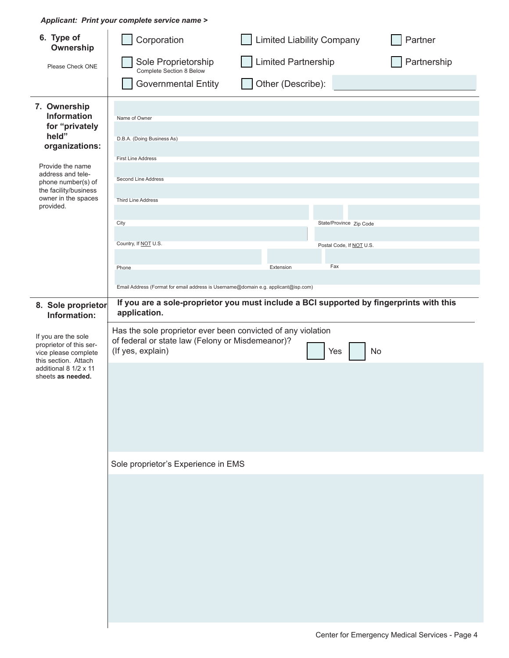*Applicant: Print your complete service name >*

| 6. Type of<br>Ownership                                                                                                                                                                                     | Corporation                                                                                                                                                                                                                 | <b>Limited Liability Company</b> |                                                            | Partner     |
|-------------------------------------------------------------------------------------------------------------------------------------------------------------------------------------------------------------|-----------------------------------------------------------------------------------------------------------------------------------------------------------------------------------------------------------------------------|----------------------------------|------------------------------------------------------------|-------------|
| Please Check ONE                                                                                                                                                                                            | Sole Proprietorship<br>Complete Section 8 Below                                                                                                                                                                             | <b>Limited Partnership</b>       |                                                            | Partnership |
|                                                                                                                                                                                                             | <b>Governmental Entity</b>                                                                                                                                                                                                  | Other (Describe):                |                                                            |             |
| 7. Ownership<br><b>Information</b><br>for "privately<br>held"<br>organizations:<br>Provide the name<br>address and tele-<br>phone number(s) of<br>the facility/business<br>owner in the spaces<br>provided. | Name of Owner<br>D.B.A. (Doing Business As)<br><b>First Line Address</b><br>Second Line Address<br><b>Third Line Address</b><br>City<br>Country, If NOT U.S.<br>Phone                                                       | Extension                        | State/Province Zip Code<br>Postal Code, If NOT U.S.<br>Fax |             |
|                                                                                                                                                                                                             | Email Address (Format for email address is Username@domain e.g. applicant@isp.com)                                                                                                                                          |                                  |                                                            |             |
| 8. Sole proprietor<br>Information:<br>If you are the sole<br>proprietor of this ser-                                                                                                                        | If you are a sole-proprietor you must include a BCI supported by fingerprints with this<br>application.<br>Has the sole proprietor ever been convicted of any violation<br>of federal or state law (Felony or Misdemeanor)? |                                  |                                                            |             |
| vice please complete<br>this section. Attach<br>additional 8 1/2 x 11<br>sheets as needed.                                                                                                                  | (If yes, explain)                                                                                                                                                                                                           |                                  | No<br>Yes                                                  |             |
|                                                                                                                                                                                                             | Sole proprietor's Experience in EMS                                                                                                                                                                                         |                                  |                                                            |             |
|                                                                                                                                                                                                             |                                                                                                                                                                                                                             |                                  |                                                            |             |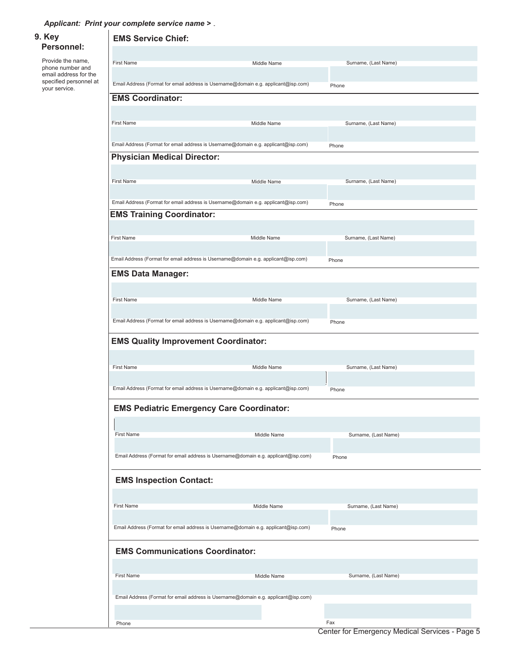*Applicant: Print your complete service name >*

|  | 9. Key                                          | <b>EMS Service Chief:</b>                                                                                              |                      |  |  |  |  |
|--|-------------------------------------------------|------------------------------------------------------------------------------------------------------------------------|----------------------|--|--|--|--|
|  | Personnel:                                      |                                                                                                                        |                      |  |  |  |  |
|  | Provide the name,<br>phone number and           | <b>First Name</b><br><b>Middle Name</b>                                                                                | Surname, (Last Name) |  |  |  |  |
|  | email address for the<br>specified personnel at | Email Address (Format for email address is Username@domain e.g. applicant@isp.com)                                     |                      |  |  |  |  |
|  | your service.                                   |                                                                                                                        | Phone                |  |  |  |  |
|  |                                                 | <b>EMS Coordinator:</b>                                                                                                |                      |  |  |  |  |
|  |                                                 | <b>First Name</b><br>Middle Name                                                                                       | Surname, (Last Name) |  |  |  |  |
|  |                                                 |                                                                                                                        |                      |  |  |  |  |
|  |                                                 | Email Address (Format for email address is Username@domain e.g. applicant@isp.com)                                     | Phone                |  |  |  |  |
|  |                                                 | <b>Physician Medical Director:</b>                                                                                     |                      |  |  |  |  |
|  |                                                 |                                                                                                                        |                      |  |  |  |  |
|  |                                                 | <b>First Name</b><br>Middle Name                                                                                       | Surname, (Last Name) |  |  |  |  |
|  |                                                 |                                                                                                                        |                      |  |  |  |  |
|  |                                                 | Email Address (Format for email address is Username@domain e.g. applicant@isp.com)<br><b>EMS Training Coordinator:</b> | Phone                |  |  |  |  |
|  |                                                 |                                                                                                                        |                      |  |  |  |  |
|  |                                                 | <b>First Name</b><br>Middle Name                                                                                       | Surname, (Last Name) |  |  |  |  |
|  |                                                 |                                                                                                                        |                      |  |  |  |  |
|  |                                                 | Email Address (Format for email address is Username@domain e.g. applicant@isp.com)                                     | Phone                |  |  |  |  |
|  |                                                 | <b>EMS Data Manager:</b>                                                                                               |                      |  |  |  |  |
|  |                                                 |                                                                                                                        |                      |  |  |  |  |
|  |                                                 | <b>First Name</b><br>Middle Name                                                                                       | Surname, (Last Name) |  |  |  |  |
|  |                                                 |                                                                                                                        |                      |  |  |  |  |
|  |                                                 | Email Address (Format for email address is Username@domain e.g. applicant@isp.com)                                     | Phone                |  |  |  |  |
|  |                                                 | <b>EMS Quality Improvement Coordinator:</b>                                                                            |                      |  |  |  |  |
|  |                                                 |                                                                                                                        |                      |  |  |  |  |
|  |                                                 | <b>First Name</b><br>Middle Name                                                                                       | Surname, (Last Name) |  |  |  |  |
|  |                                                 |                                                                                                                        |                      |  |  |  |  |
|  |                                                 | Email Address (Format for email address is Username@domain e.g. applicant@isp.com)                                     | Phone                |  |  |  |  |
|  |                                                 | <b>EMS Pediatric Emergency Care Coordinator:</b>                                                                       |                      |  |  |  |  |
|  |                                                 |                                                                                                                        |                      |  |  |  |  |
|  |                                                 | <b>First Name</b><br>Middle Name                                                                                       | Surname, (Last Name) |  |  |  |  |
|  |                                                 |                                                                                                                        |                      |  |  |  |  |
|  |                                                 | Email Address (Format for email address is Username@domain e.g. applicant@isp.com)                                     | Phone                |  |  |  |  |
|  |                                                 |                                                                                                                        |                      |  |  |  |  |
|  |                                                 | <b>EMS Inspection Contact:</b>                                                                                         |                      |  |  |  |  |
|  |                                                 |                                                                                                                        |                      |  |  |  |  |
|  |                                                 | <b>First Name</b><br>Middle Name                                                                                       | Surname, (Last Name) |  |  |  |  |
|  |                                                 | Email Address (Format for email address is Username@domain e.g. applicant@isp.com)                                     | Phone                |  |  |  |  |
|  |                                                 |                                                                                                                        |                      |  |  |  |  |
|  |                                                 | <b>EMS Communications Coordinator:</b>                                                                                 |                      |  |  |  |  |
|  |                                                 |                                                                                                                        |                      |  |  |  |  |
|  |                                                 | <b>First Name</b><br>Middle Name                                                                                       | Surname, (Last Name) |  |  |  |  |
|  |                                                 |                                                                                                                        |                      |  |  |  |  |
|  |                                                 | Email Address (Format for email address is Username@domain e.g. applicant@isp.com)                                     |                      |  |  |  |  |
|  |                                                 | Phone                                                                                                                  | Fax                  |  |  |  |  |
|  |                                                 |                                                                                                                        |                      |  |  |  |  |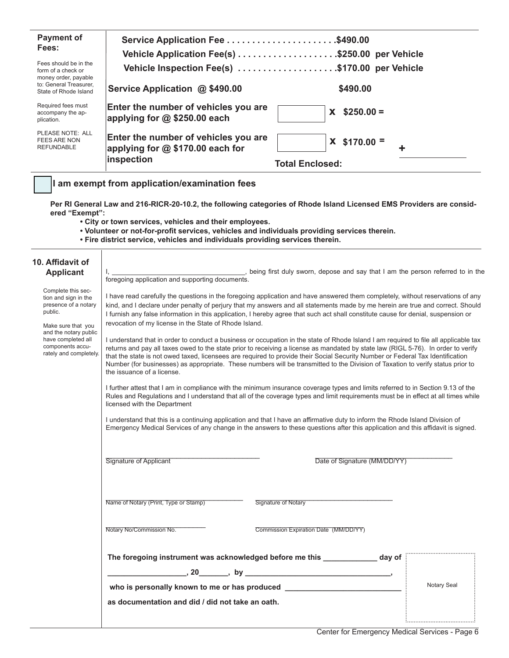| <b>Payment of</b><br>Fees:                                                                    | Service Application Fee \$490.00                                                         | Vehicle Application Fee(s) \$250.00 per Vehicle |
|-----------------------------------------------------------------------------------------------|------------------------------------------------------------------------------------------|-------------------------------------------------|
| Fees should be in the<br>form of a check or<br>money order, payable<br>to: General Treasurer. |                                                                                          | Vehicle Inspection Fee(s) \$170.00 per Vehicle  |
| State of Rhode Island                                                                         | Service Application @ \$490.00                                                           | \$490.00                                        |
| Required fees must<br>accompany the ap-<br>plication.                                         | Enter the number of vehicles you are<br>applying for $@$ \$250.00 each                   | $$250.00 =$<br>X.                               |
| PLEASE NOTE: ALL<br>FEES ARE NON<br><b>REFUNDABLE</b>                                         | Enter the number of vehicles you are<br>applying for $@$ \$170.00 each for<br>inspection | $X$ \$170.00 =<br>٠<br><b>Total Enclosed:</b>   |
|                                                                                               |                                                                                          |                                                 |

### **I am exempt from application/examination fees**

**Per RI General Law and 216-RICR-20-10.2, the following categories of Rhode Island Licensed EMS Providers are considered "Exempt":**

- **City or town services, vehicles and their employees.**
- **Volunteer or not-for-profit services, vehicles and individuals providing services therein.**
- **Fire district service, vehicles and individuals providing services therein.**

| 10. Affidavit of<br><b>Applicant</b>                                                                                                                                                             | I, ____________________________, being first duly sworn, depose and say that I am the person referred to in the<br>foregoing application and supporting documents.                                                                                                                                                                                                                                                                                                                                                                                                                                                                                                                                                                                                                                                                                                                                                                                                                                                                                                                                                                                                                                                                                                                                                                                                                                                                                                                                                                                                                                                             |  |  |  |  |
|--------------------------------------------------------------------------------------------------------------------------------------------------------------------------------------------------|--------------------------------------------------------------------------------------------------------------------------------------------------------------------------------------------------------------------------------------------------------------------------------------------------------------------------------------------------------------------------------------------------------------------------------------------------------------------------------------------------------------------------------------------------------------------------------------------------------------------------------------------------------------------------------------------------------------------------------------------------------------------------------------------------------------------------------------------------------------------------------------------------------------------------------------------------------------------------------------------------------------------------------------------------------------------------------------------------------------------------------------------------------------------------------------------------------------------------------------------------------------------------------------------------------------------------------------------------------------------------------------------------------------------------------------------------------------------------------------------------------------------------------------------------------------------------------------------------------------------------------|--|--|--|--|
| Complete this sec-<br>tion and sign in the<br>presence of a notary<br>public.<br>Make sure that you<br>and the notary public<br>have completed all<br>components accu-<br>rately and completely. | I have read carefully the questions in the foregoing application and have answered them completely, without reservations of any<br>kind, and I declare under penalty of perjury that my answers and all statements made by me herein are true and correct. Should<br>I furnish any false information in this application, I hereby agree that such act shall constitute cause for denial, suspension or<br>revocation of my license in the State of Rhode Island.<br>I understand that in order to conduct a business or occupation in the state of Rhode Island I am required to file all applicable tax<br>returns and pay all taxes owed to the state prior to receiving a license as mandated by state law (RIGL 5-76). In order to verify<br>that the state is not owed taxed, licensees are required to provide their Social Security Number or Federal Tax Identification<br>Number (for businesses) as appropriate. These numbers will be transmitted to the Division of Taxation to verify status prior to<br>the issuance of a license.<br>I further attest that I am in compliance with the minimum insurance coverage types and limits referred to in Section 9.13 of the<br>Rules and Regulations and I understand that all of the coverage types and limit requirements must be in effect at all times while<br>licensed with the Department<br>I understand that this is a continuing application and that I have an affirmative duty to inform the Rhode Island Division of<br>Emergency Medical Services of any change in the answers to these questions after this application and this affidavit is signed. |  |  |  |  |
|                                                                                                                                                                                                  | Signature of Applicant<br>Date of Signature (MM/DD/YY)                                                                                                                                                                                                                                                                                                                                                                                                                                                                                                                                                                                                                                                                                                                                                                                                                                                                                                                                                                                                                                                                                                                                                                                                                                                                                                                                                                                                                                                                                                                                                                         |  |  |  |  |
|                                                                                                                                                                                                  | Name of Notary (Print, Type or Stamp)<br>Signature of Notary                                                                                                                                                                                                                                                                                                                                                                                                                                                                                                                                                                                                                                                                                                                                                                                                                                                                                                                                                                                                                                                                                                                                                                                                                                                                                                                                                                                                                                                                                                                                                                   |  |  |  |  |
|                                                                                                                                                                                                  | Notary No/Commission No.<br>Commission Expiration Date (MM/DD/YY)                                                                                                                                                                                                                                                                                                                                                                                                                                                                                                                                                                                                                                                                                                                                                                                                                                                                                                                                                                                                                                                                                                                                                                                                                                                                                                                                                                                                                                                                                                                                                              |  |  |  |  |
|                                                                                                                                                                                                  | The foregoing instrument was acknowledged before me this _____________ day of<br>$\frac{1}{20}$ , 20 $\frac{1}{20}$ , by $\frac{1}{20}$<br>Notary Seal<br>who is personally known to me or has produced __________________________________<br>as documentation and did / did not take an oath.                                                                                                                                                                                                                                                                                                                                                                                                                                                                                                                                                                                                                                                                                                                                                                                                                                                                                                                                                                                                                                                                                                                                                                                                                                                                                                                                 |  |  |  |  |
|                                                                                                                                                                                                  |                                                                                                                                                                                                                                                                                                                                                                                                                                                                                                                                                                                                                                                                                                                                                                                                                                                                                                                                                                                                                                                                                                                                                                                                                                                                                                                                                                                                                                                                                                                                                                                                                                |  |  |  |  |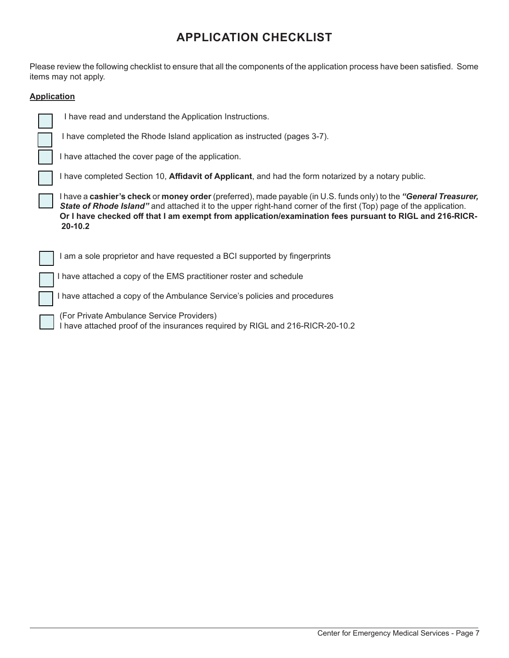## **APPLICATION CHECKLIST**

Please review the following checklist to ensure that all the components of the application process have been satisfied. Some items may not apply.

#### **Application**

| I have read and understand the Application Instructions.                                                                                                                                                                                                                                                                                                                             |
|--------------------------------------------------------------------------------------------------------------------------------------------------------------------------------------------------------------------------------------------------------------------------------------------------------------------------------------------------------------------------------------|
| have completed the Rhode Island application as instructed (pages 3-7).                                                                                                                                                                                                                                                                                                               |
| I have attached the cover page of the application.                                                                                                                                                                                                                                                                                                                                   |
| I have completed Section 10, <b>Affidavit of Applicant</b> , and had the form notarized by a notary public.                                                                                                                                                                                                                                                                          |
| I have a <b>cashier's check</b> or <b>money order</b> (preferred), made payable (in U.S. funds only) to the " <b>General Treasurer,</b><br>State of Rhode Island" and attached it to the upper right-hand corner of the first (Top) page of the application.<br>Or I have checked off that I am exempt from application/examination fees pursuant to RIGL and 216-RICR-<br>$20-10.2$ |
| I am a sole proprietor and have requested a BCI supported by fingerprints                                                                                                                                                                                                                                                                                                            |
| have attached a copy of the EMS practitioner roster and schedule                                                                                                                                                                                                                                                                                                                     |
| have attached a copy of the Ambulance Service's policies and procedures                                                                                                                                                                                                                                                                                                              |

 (For Private Ambulance Service Providers) I have attached proof of the insurances required by RIGL and 216-RICR-20-10.2